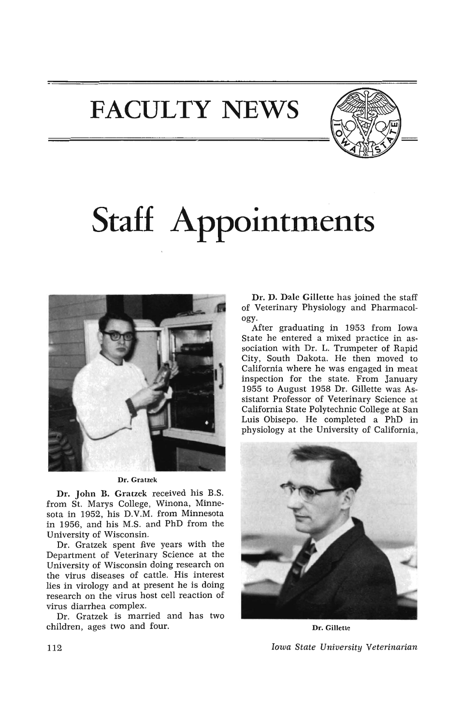**FACULTY NEWS** 



## **Staff Appointments**



Dr. Gratzek

Dr. John B. Gratzek received his B.S. from St. Marys College, Winona, Minnesota in 1952, his D.V.M. from Minnesota in 1956, and his M.S. and PhD from the University of Wisconsin.

Dr. Gratzek spent five years with the Department of Veterinary Science at the University of Wisconsin doing research on the virus diseases of cattle. His interest lies in virology and at present he is doing research on the virus host cell reaction of virus diarrhea complex.

Dr. Gratzek is married and has two children, ages two and four.

Dr. D. Dale Gillette has joined the staff of Veterinary Physiology and Pharmacology.

After graduating in 1953 from Iowa State he entered a mixed practice in association with Dr. L. Trumpeter of Rapid City, South Dakota. He then moved to California where he was engaged in meat inspection for the state. From January 1955 to August 1958 Dr. Gillette was Assistant Professor of Veterinary Science at California State Polytechnic College at San Luis Obisepo. He completed a PhD in physiology at the University of California,



Dr. Gillette *Iowa State University Veterinarian*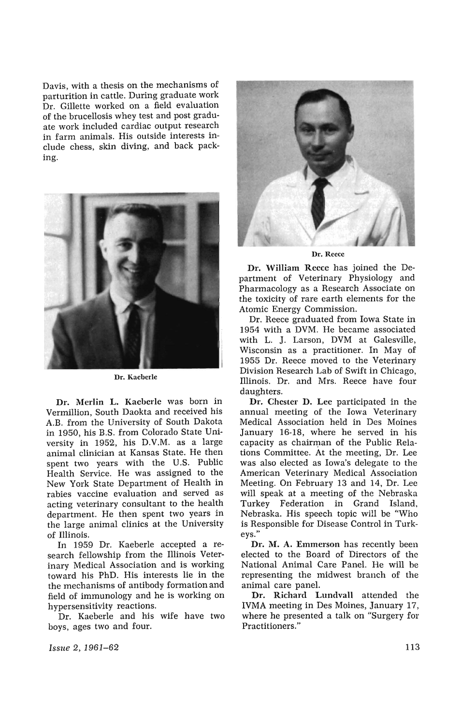Davis, with a thesis on the mechanisms of parturition in cattle. During graduate work Dr. Gillette worked on a field evaluation of the brucellosis whey test and post graduate work included cardiac output research in farm animals. His outside interests include chess, skin diving, and back packing.



Dr. Kacberlc

Dr. Merlin L. Kacberle was born in Vermillion, South Daokta and received his A.B. from the University of South Dakota in 1950, his B.S. from Colorado State University in 1952, his D.V.M. as a large animal clinician at Kansas State. He then spent two years with the U.S. Public Health Service. He was assigned to the New York State Department of Health in rabies vaccine evaluation and served as acting veterinary consultant to the health department. He then spent two years in the large animal clinics at the University of Illinois.

In 1959 Dr. Kaeberle accepted a research fellowship from the Illinois Veterinary Medical Association and is working toward his PhD. His interests lie in the the mechanisms of antibody formation and field of immunology and he is working on hypersensitivity reactions.

Dr. Kaeberle and his wife have two boys, ages two and four.



Dr. Reece

Dr. William Reece has joined the Department of Veterinary Physiology and Pharmacology as a Research Associate on the toxicity of rare earth elements for the Atomic Energy Commission.

Dr. Reece graduated from Iowa State in 1954 with a DVM. He became associated with L. J. Larson, DVM at Galesville, Wisconsin as a practitioner. In May of 1955 Dr. Reece moved to the Veterinary Division Research Lab of Swift in Chicago, Illinois. Dr. and Mrs. Reece have four daughters.

Dr. Chester D. Lee participated in the annual meeting of the Iowa Veterinary Medical Association held in Des Moines January 16-18, where he served in his capacity as chairman of the Public Relations Committee. At the meeting, Dr. Lee was also elected as Iowa's delegate to the American Veterinary Medical Association Meeting. On February 13 and 14, Dr. Lee will speak at a meeting of the Nebraska Turkey Federation in Grand Island, Nebraska. His speech topic will be "Who is Responsible for Disease Control in Turkeys."

Dr. M. A. Emmerson has recently been elected to the Board of Directors of the National Animal Care Panel. He will be representing the midwest branch of the animal care panel.

Dr. Richard Lundvall attended the IVMA meeting in Des Moines, January 17, where he presented a talk on "Surgery for Practitioners."

*Issue* 2,1961-62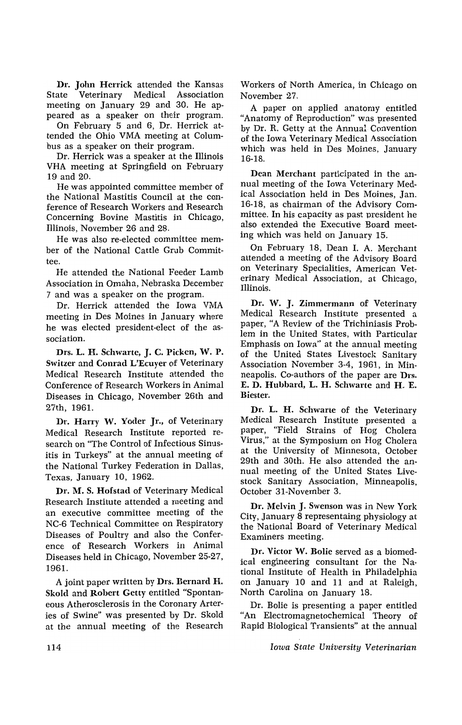Dr. John Herrick attended the Kansas State Veterinary Medical Association meeting on January 29 and 30. He appeared as a speaker on their program.

On February 5 and 6, Dr. Herrick attended the Ohio VMA meeting at Columbus as a speaker on their program.

Dr. Herrick was a speaker at the Illinois VHA meeting at Springfield on February 19 and 20.

He was appointed committee member of the National Mastitis Council at the conference of Research Workers and Research Concerning Bovine Mastitis in Chicago, Illinois, November 26 and 2S.

He was also re-elected committee member of the National Cattle Grub Committee.

He attended the National Feeder Lamb Association in Omaha, Nebraska December 7 and was a speaker on the program.

Dr. Herrick attended the Iowa VMA meeting in Des Moines in January where he was elected president-elect of the association.

Drs. L. H. Schwarte, J. C. Picken, W. P. Switzer and Conrad L'Ecuyer of Veterinary Medical Research Institute attended the Conference of Research Workers in Animal Diseases in Chicago, November 26th and 27th, 1961.

Dr. Harry W. Yoder Jr., of Veterinary Medical Research Institute reported research on "The Control of Infectious Sinusitis in Turkeys" at the annual meeting of the National Turkey Federation in Dallas, Texas, January 10, 1962.

Dr. M. S. Hofstad of Veterinary Medical Research Institute attended a meeting and an executive committee meeting of the NC-6 Technical Committee on Respiratory Diseases of Poultry and also the Conference of Research Workers in Animal Diseases held in Chicago, November 25-27, 196!.

A joint paper written by Drs. Bernard H. Skold and Robert Getty entitled "Spontaneous Atherosclerosis in the Coronary Arteries of Swine" was presented by Dr. Skold at the annual meeting of the Research

Workers of North America, in Chicago on November 27.

A paper on applied anatomy entitled "Anatomy of Reproduction" was presented by Dr. R. Getty at the Annual Convention of the Iowa Veterinary Medical Association which was held in Des Moines, January 16-1S.

Dean Merchant participated in the annual meeting of the Iowa Veterinary Medical Association held in Des Moines, Jan. 16-1S, as chairman of the Advisory Committee. In his capacity as past president he also extended the Executive Board meeting which was held on January 15.

On February 18, Dean I. A. Merchant attended a meeting of the Advisory Board on Veterinary Specialities, American Veterinary Medical Association, at Chicago, Illinois.

Dr. W. J. Zimmermann of Veterinary Medical Research Institute presented a paper, "A Review of the Trichiniasis Problem in the United States, with Particular Emphasis on Iowa" at the annual meeting of the United States Livestock Sanitary Association November 3-4, 1961, in Minneapolis. Co-authors of the paper are Drs. E. D. Hubbard, L. H. Schwartc and H. E. Biester.

Dr. L. H. Schwarte of the Veterinary Medical Research Institute presented a paper, "Field Strains of Hog Cholera Virus," at the Symposium on Hog Cholera at the University of Minnesota, October 29th and 30th. He also attended the annual meeting of the United States Livestock Sanitary Association, Minneapolis, October 31-November 3.

Dr. Melvin J. Swenson was in New York City, January 8 representaing physiology at the National Board of Veterinary Medical Examiners meeting.

Dr. Victor W. Bolie served as a biomedical engineering consultant for the National Institute of Health in Philadelphia on January 10 and 11 and at Raleigh, North Carolina on January 18.

Dr. Bolie is presenting a paper entitled "An Electromagnetochemical Theory of Rapid Biological Transients" at the annual

*IOUla State U ni'versity Veterinarian*